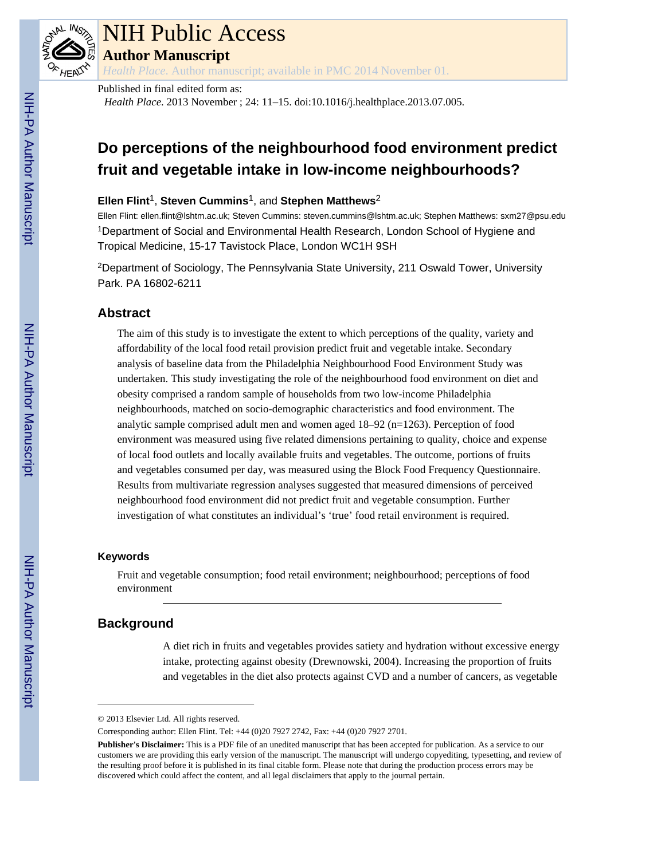

## NIH Public Access

**Author Manuscript**

*Health Place*. Author manuscript; available in PMC 2014 November 01.

#### Published in final edited form as:

*Health Place*. 2013 November ; 24: 11–15. doi:10.1016/j.healthplace.2013.07.005.

### **Do perceptions of the neighbourhood food environment predict fruit and vegetable intake in low-income neighbourhoods?**

#### **Ellen Flint**1, **Steven Cummins**1, and **Stephen Matthews**<sup>2</sup>

Ellen Flint: ellen.flint@lshtm.ac.uk; Steven Cummins: steven.cummins@lshtm.ac.uk; Stephen Matthews: sxm27@psu.edu <sup>1</sup>Department of Social and Environmental Health Research, London School of Hygiene and Tropical Medicine, 15-17 Tavistock Place, London WC1H 9SH

<sup>2</sup>Department of Sociology, The Pennsylvania State University, 211 Oswald Tower, University Park. PA 16802-6211

#### **Abstract**

The aim of this study is to investigate the extent to which perceptions of the quality, variety and affordability of the local food retail provision predict fruit and vegetable intake. Secondary analysis of baseline data from the Philadelphia Neighbourhood Food Environment Study was undertaken. This study investigating the role of the neighbourhood food environment on diet and obesity comprised a random sample of households from two low-income Philadelphia neighbourhoods, matched on socio-demographic characteristics and food environment. The analytic sample comprised adult men and women aged 18–92 (n=1263). Perception of food environment was measured using five related dimensions pertaining to quality, choice and expense of local food outlets and locally available fruits and vegetables. The outcome, portions of fruits and vegetables consumed per day, was measured using the Block Food Frequency Questionnaire. Results from multivariate regression analyses suggested that measured dimensions of perceived neighbourhood food environment did not predict fruit and vegetable consumption. Further investigation of what constitutes an individual's 'true' food retail environment is required.

#### **Keywords**

Fruit and vegetable consumption; food retail environment; neighbourhood; perceptions of food environment

#### **Background**

A diet rich in fruits and vegetables provides satiety and hydration without excessive energy intake, protecting against obesity (Drewnowski, 2004). Increasing the proportion of fruits and vegetables in the diet also protects against CVD and a number of cancers, as vegetable

<sup>© 2013</sup> Elsevier Ltd. All rights reserved.

Corresponding author: Ellen Flint. Tel: +44 (0)20 7927 2742, Fax: +44 (0)20 7927 2701.

**Publisher's Disclaimer:** This is a PDF file of an unedited manuscript that has been accepted for publication. As a service to our customers we are providing this early version of the manuscript. The manuscript will undergo copyediting, typesetting, and review of the resulting proof before it is published in its final citable form. Please note that during the production process errors may be discovered which could affect the content, and all legal disclaimers that apply to the journal pertain.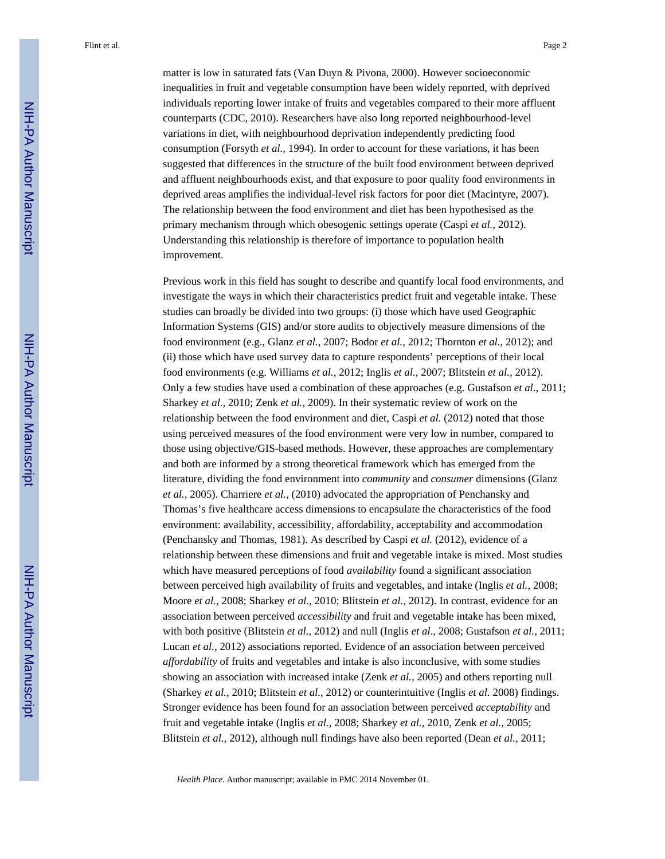matter is low in saturated fats (Van Duyn & Pivona, 2000). However socioeconomic inequalities in fruit and vegetable consumption have been widely reported, with deprived individuals reporting lower intake of fruits and vegetables compared to their more affluent counterparts (CDC, 2010). Researchers have also long reported neighbourhood-level variations in diet, with neighbourhood deprivation independently predicting food consumption (Forsyth *et al.,* 1994). In order to account for these variations, it has been suggested that differences in the structure of the built food environment between deprived and affluent neighbourhoods exist, and that exposure to poor quality food environments in deprived areas amplifies the individual-level risk factors for poor diet (Macintyre, 2007). The relationship between the food environment and diet has been hypothesised as the primary mechanism through which obesogenic settings operate (Caspi *et al.,* 2012). Understanding this relationship is therefore of importance to population health improvement.

Previous work in this field has sought to describe and quantify local food environments, and investigate the ways in which their characteristics predict fruit and vegetable intake. These studies can broadly be divided into two groups: (i) those which have used Geographic Information Systems (GIS) and/or store audits to objectively measure dimensions of the food environment (e.g., Glanz *et al.,* 2007; Bodor *et al.,* 2012; Thornton *et al.,* 2012); and (ii) those which have used survey data to capture respondents' perceptions of their local food environments (e.g. Williams *et al.,* 2012; Inglis *et al.,* 2007; Blitstein *et al.,* 2012). Only a few studies have used a combination of these approaches (e.g. Gustafson *et al.,* 2011; Sharkey *et al.,* 2010; Zenk *et al.,* 2009). In their systematic review of work on the relationship between the food environment and diet, Caspi *et al.* (2012) noted that those using perceived measures of the food environment were very low in number, compared to those using objective/GIS-based methods. However, these approaches are complementary and both are informed by a strong theoretical framework which has emerged from the literature, dividing the food environment into *community* and *consumer* dimensions (Glanz *et al.,* 2005). Charriere *et al.,* (2010) advocated the appropriation of Penchansky and Thomas's five healthcare access dimensions to encapsulate the characteristics of the food environment: availability, accessibility, affordability, acceptability and accommodation (Penchansky and Thomas, 1981). As described by Caspi *et al.* (2012), evidence of a relationship between these dimensions and fruit and vegetable intake is mixed. Most studies which have measured perceptions of food *availability* found a significant association between perceived high availability of fruits and vegetables, and intake (Inglis *et al.,* 2008; Moore *et al.,* 2008; Sharkey *et al.,* 2010; Blitstein *et al.,* 2012). In contrast, evidence for an association between perceived *accessibility* and fruit and vegetable intake has been mixed, with both positive (Blitstein *et al.,* 2012) and null (Inglis *et al*., 2008; Gustafson *et al.,* 2011; Lucan *et al.,* 2012) associations reported. Evidence of an association between perceived *affordability* of fruits and vegetables and intake is also inconclusive, with some studies showing an association with increased intake (Zenk *et al.,* 2005) and others reporting null (Sharkey *et al.,* 2010; Blitstein *et al.,* 2012) or counterintuitive (Inglis *et al.* 2008) findings. Stronger evidence has been found for an association between perceived *acceptability* and fruit and vegetable intake (Inglis *et al.,* 2008; Sharkey *et al.,* 2010, Zenk *et al.,* 2005; Blitstein *et al.,* 2012), although null findings have also been reported (Dean *et al.,* 2011;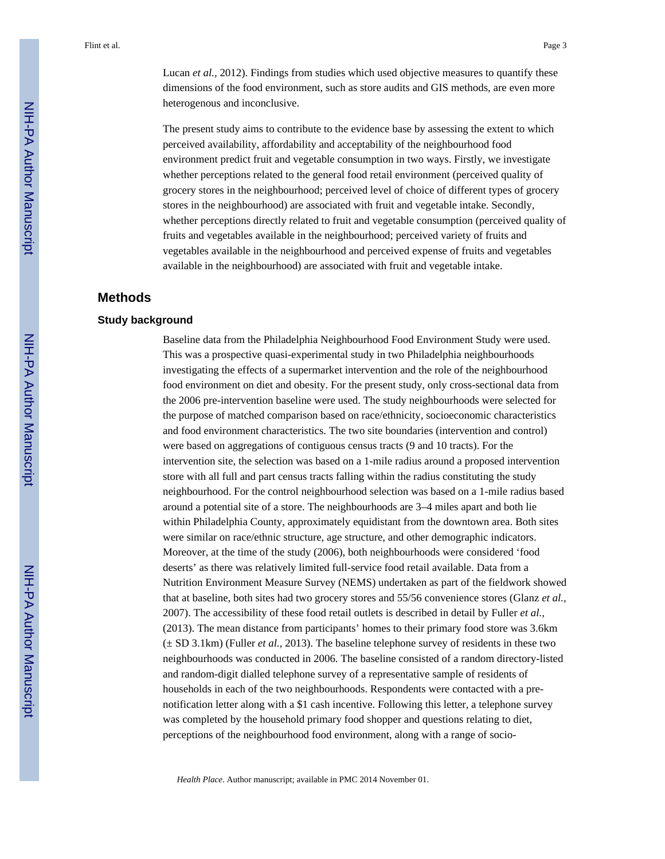Lucan *et al.,* 2012). Findings from studies which used objective measures to quantify these dimensions of the food environment, such as store audits and GIS methods, are even more heterogenous and inconclusive.

The present study aims to contribute to the evidence base by assessing the extent to which perceived availability, affordability and acceptability of the neighbourhood food environment predict fruit and vegetable consumption in two ways. Firstly, we investigate whether perceptions related to the general food retail environment (perceived quality of grocery stores in the neighbourhood; perceived level of choice of different types of grocery stores in the neighbourhood) are associated with fruit and vegetable intake. Secondly, whether perceptions directly related to fruit and vegetable consumption (perceived quality of fruits and vegetables available in the neighbourhood; perceived variety of fruits and vegetables available in the neighbourhood and perceived expense of fruits and vegetables available in the neighbourhood) are associated with fruit and vegetable intake.

#### **Methods**

#### **Study background**

Baseline data from the Philadelphia Neighbourhood Food Environment Study were used. This was a prospective quasi-experimental study in two Philadelphia neighbourhoods investigating the effects of a supermarket intervention and the role of the neighbourhood food environment on diet and obesity. For the present study, only cross-sectional data from the 2006 pre-intervention baseline were used. The study neighbourhoods were selected for the purpose of matched comparison based on race/ethnicity, socioeconomic characteristics and food environment characteristics. The two site boundaries (intervention and control) were based on aggregations of contiguous census tracts (9 and 10 tracts). For the intervention site, the selection was based on a 1-mile radius around a proposed intervention store with all full and part census tracts falling within the radius constituting the study neighbourhood. For the control neighbourhood selection was based on a 1-mile radius based around a potential site of a store. The neighbourhoods are 3–4 miles apart and both lie within Philadelphia County, approximately equidistant from the downtown area. Both sites were similar on race/ethnic structure, age structure, and other demographic indicators. Moreover, at the time of the study (2006), both neighbourhoods were considered 'food deserts' as there was relatively limited full-service food retail available. Data from a Nutrition Environment Measure Survey (NEMS) undertaken as part of the fieldwork showed that at baseline, both sites had two grocery stores and 55/56 convenience stores (Glanz *et al.,* 2007). The accessibility of these food retail outlets is described in detail by Fuller *et al.,* (2013). The mean distance from participants' homes to their primary food store was 3.6km (± SD 3.1km) (Fuller *et al.,* 2013). The baseline telephone survey of residents in these two neighbourhoods was conducted in 2006. The baseline consisted of a random directory-listed and random-digit dialled telephone survey of a representative sample of residents of households in each of the two neighbourhoods. Respondents were contacted with a prenotification letter along with a \$1 cash incentive. Following this letter, a telephone survey was completed by the household primary food shopper and questions relating to diet, perceptions of the neighbourhood food environment, along with a range of socio-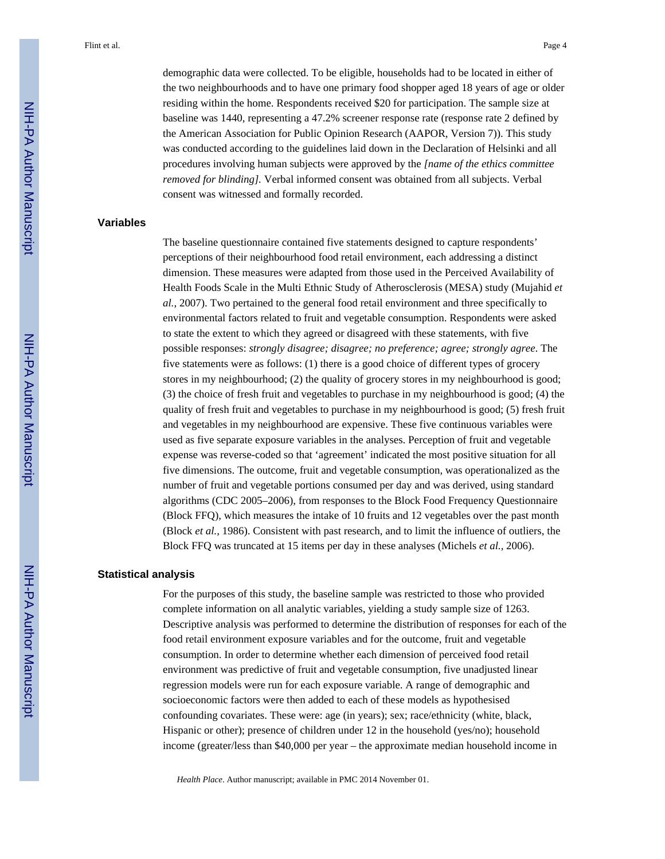demographic data were collected. To be eligible, households had to be located in either of the two neighbourhoods and to have one primary food shopper aged 18 years of age or older residing within the home. Respondents received \$20 for participation. The sample size at baseline was 1440, representing a 47.2% screener response rate (response rate 2 defined by the American Association for Public Opinion Research (AAPOR, Version 7)). This study was conducted according to the guidelines laid down in the Declaration of Helsinki and all procedures involving human subjects were approved by the *[name of the ethics committee removed for blinding].* Verbal informed consent was obtained from all subjects. Verbal consent was witnessed and formally recorded.

#### **Variables**

The baseline questionnaire contained five statements designed to capture respondents' perceptions of their neighbourhood food retail environment, each addressing a distinct dimension. These measures were adapted from those used in the Perceived Availability of Health Foods Scale in the Multi Ethnic Study of Atherosclerosis (MESA) study (Mujahid *et al.,* 2007). Two pertained to the general food retail environment and three specifically to environmental factors related to fruit and vegetable consumption. Respondents were asked to state the extent to which they agreed or disagreed with these statements, with five possible responses: *strongly disagree; disagree; no preference; agree; strongly agree*. The five statements were as follows: (1) there is a good choice of different types of grocery stores in my neighbourhood; (2) the quality of grocery stores in my neighbourhood is good; (3) the choice of fresh fruit and vegetables to purchase in my neighbourhood is good; (4) the quality of fresh fruit and vegetables to purchase in my neighbourhood is good; (5) fresh fruit and vegetables in my neighbourhood are expensive. These five continuous variables were used as five separate exposure variables in the analyses. Perception of fruit and vegetable expense was reverse-coded so that 'agreement' indicated the most positive situation for all five dimensions. The outcome, fruit and vegetable consumption, was operationalized as the number of fruit and vegetable portions consumed per day and was derived, using standard algorithms (CDC 2005–2006), from responses to the Block Food Frequency Questionnaire (Block FFQ), which measures the intake of 10 fruits and 12 vegetables over the past month (Block *et al.,* 1986). Consistent with past research, and to limit the influence of outliers, the Block FFQ was truncated at 15 items per day in these analyses (Michels *et al.,* 2006).

#### **Statistical analysis**

For the purposes of this study, the baseline sample was restricted to those who provided complete information on all analytic variables, yielding a study sample size of 1263. Descriptive analysis was performed to determine the distribution of responses for each of the food retail environment exposure variables and for the outcome, fruit and vegetable consumption. In order to determine whether each dimension of perceived food retail environment was predictive of fruit and vegetable consumption, five unadjusted linear regression models were run for each exposure variable. A range of demographic and socioeconomic factors were then added to each of these models as hypothesised confounding covariates. These were: age (in years); sex; race/ethnicity (white, black, Hispanic or other); presence of children under 12 in the household (yes/no); household income (greater/less than \$40,000 per year – the approximate median household income in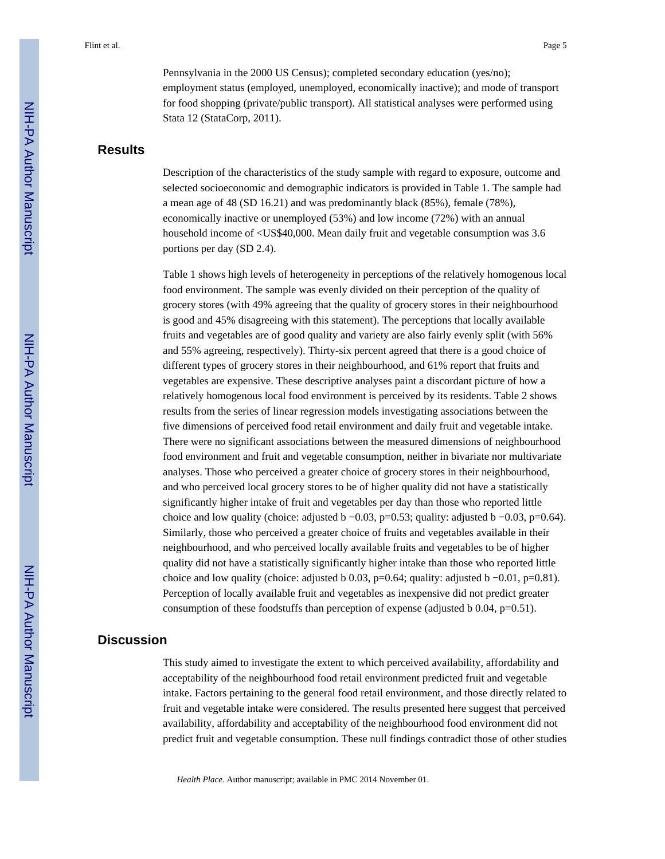Pennsylvania in the 2000 US Census); completed secondary education (yes/no); employment status (employed, unemployed, economically inactive); and mode of transport for food shopping (private/public transport). All statistical analyses were performed using Stata 12 (StataCorp, 2011).

#### **Results**

Description of the characteristics of the study sample with regard to exposure, outcome and selected socioeconomic and demographic indicators is provided in Table 1. The sample had a mean age of 48 (SD 16.21) and was predominantly black (85%), female (78%), economically inactive or unemployed (53%) and low income (72%) with an annual household income of <US\$40,000. Mean daily fruit and vegetable consumption was 3.6 portions per day (SD 2.4).

Table 1 shows high levels of heterogeneity in perceptions of the relatively homogenous local food environment. The sample was evenly divided on their perception of the quality of grocery stores (with 49% agreeing that the quality of grocery stores in their neighbourhood is good and 45% disagreeing with this statement). The perceptions that locally available fruits and vegetables are of good quality and variety are also fairly evenly split (with 56% and 55% agreeing, respectively). Thirty-six percent agreed that there is a good choice of different types of grocery stores in their neighbourhood, and 61% report that fruits and vegetables are expensive. These descriptive analyses paint a discordant picture of how a relatively homogenous local food environment is perceived by its residents. Table 2 shows results from the series of linear regression models investigating associations between the five dimensions of perceived food retail environment and daily fruit and vegetable intake. There were no significant associations between the measured dimensions of neighbourhood food environment and fruit and vegetable consumption, neither in bivariate nor multivariate analyses. Those who perceived a greater choice of grocery stores in their neighbourhood, and who perceived local grocery stores to be of higher quality did not have a statistically significantly higher intake of fruit and vegetables per day than those who reported little choice and low quality (choice: adjusted b  $-0.03$ , p=0.53; quality: adjusted b  $-0.03$ , p=0.64). Similarly, those who perceived a greater choice of fruits and vegetables available in their neighbourhood, and who perceived locally available fruits and vegetables to be of higher quality did not have a statistically significantly higher intake than those who reported little choice and low quality (choice: adjusted b  $0.03$ , p=0.64; quality: adjusted b  $-0.01$ , p=0.81). Perception of locally available fruit and vegetables as inexpensive did not predict greater consumption of these foodstuffs than perception of expense (adjusted b 0.04, p=0.51).

#### **Discussion**

This study aimed to investigate the extent to which perceived availability, affordability and acceptability of the neighbourhood food retail environment predicted fruit and vegetable intake. Factors pertaining to the general food retail environment, and those directly related to fruit and vegetable intake were considered. The results presented here suggest that perceived availability, affordability and acceptability of the neighbourhood food environment did not predict fruit and vegetable consumption. These null findings contradict those of other studies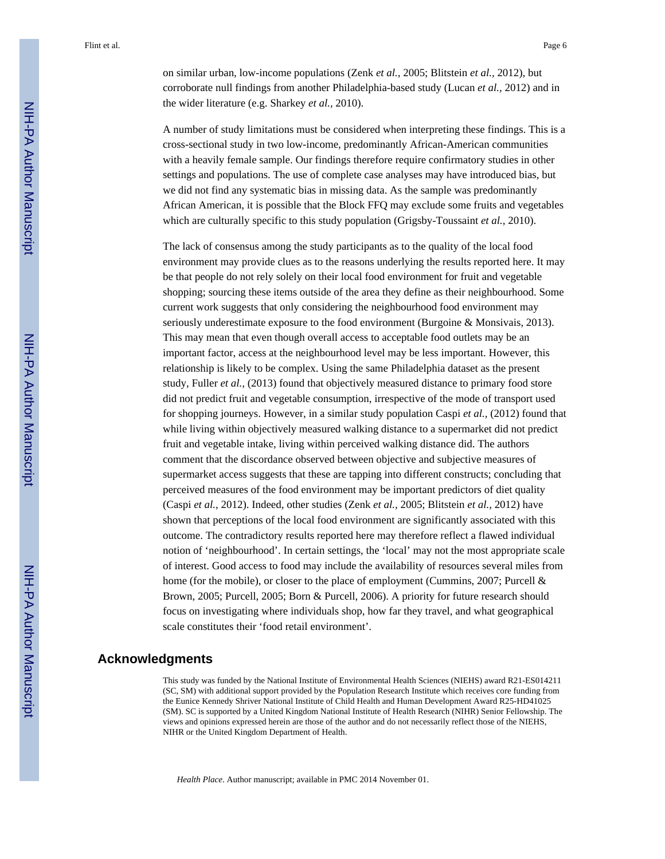on similar urban, low-income populations (Zenk *et al.,* 2005; Blitstein *et al.,* 2012), but corroborate null findings from another Philadelphia-based study (Lucan *et al.,* 2012) and in the wider literature (e.g. Sharkey *et al.,* 2010).

A number of study limitations must be considered when interpreting these findings. This is a cross-sectional study in two low-income, predominantly African-American communities with a heavily female sample. Our findings therefore require confirmatory studies in other settings and populations. The use of complete case analyses may have introduced bias, but we did not find any systematic bias in missing data. As the sample was predominantly African American, it is possible that the Block FFQ may exclude some fruits and vegetables which are culturally specific to this study population (Grigsby-Toussaint *et al.,* 2010).

The lack of consensus among the study participants as to the quality of the local food environment may provide clues as to the reasons underlying the results reported here. It may be that people do not rely solely on their local food environment for fruit and vegetable shopping; sourcing these items outside of the area they define as their neighbourhood. Some current work suggests that only considering the neighbourhood food environment may seriously underestimate exposure to the food environment (Burgoine & Monsivais, 2013). This may mean that even though overall access to acceptable food outlets may be an important factor, access at the neighbourhood level may be less important. However, this relationship is likely to be complex. Using the same Philadelphia dataset as the present study, Fuller *et al.,* (2013) found that objectively measured distance to primary food store did not predict fruit and vegetable consumption, irrespective of the mode of transport used for shopping journeys. However, in a similar study population Caspi *et al.,* (2012) found that while living within objectively measured walking distance to a supermarket did not predict fruit and vegetable intake, living within perceived walking distance did. The authors comment that the discordance observed between objective and subjective measures of supermarket access suggests that these are tapping into different constructs; concluding that perceived measures of the food environment may be important predictors of diet quality (Caspi *et al.,* 2012). Indeed, other studies (Zenk *et al.,* 2005; Blitstein *et al.,* 2012) have shown that perceptions of the local food environment are significantly associated with this outcome. The contradictory results reported here may therefore reflect a flawed individual notion of 'neighbourhood'. In certain settings, the 'local' may not the most appropriate scale of interest. Good access to food may include the availability of resources several miles from home (for the mobile), or closer to the place of employment (Cummins, 2007; Purcell & Brown, 2005; Purcell, 2005; Born & Purcell, 2006). A priority for future research should focus on investigating where individuals shop, how far they travel, and what geographical scale constitutes their 'food retail environment'.

#### **Acknowledgments**

This study was funded by the National Institute of Environmental Health Sciences (NIEHS) award R21-ES014211 (SC, SM) with additional support provided by the Population Research Institute which receives core funding from the Eunice Kennedy Shriver National Institute of Child Health and Human Development Award R25-HD41025 (SM). SC is supported by a United Kingdom National Institute of Health Research (NIHR) Senior Fellowship. The views and opinions expressed herein are those of the author and do not necessarily reflect those of the NIEHS, NIHR or the United Kingdom Department of Health.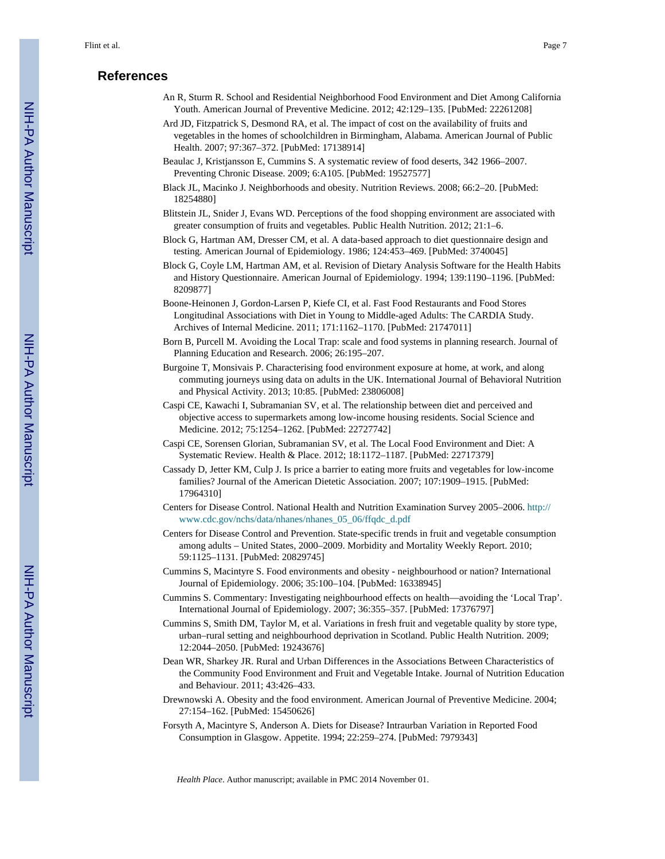#### **References**

- An R, Sturm R. School and Residential Neighborhood Food Environment and Diet Among California Youth. American Journal of Preventive Medicine. 2012; 42:129–135. [PubMed: 22261208]
- Ard JD, Fitzpatrick S, Desmond RA, et al. The impact of cost on the availability of fruits and vegetables in the homes of schoolchildren in Birmingham, Alabama. American Journal of Public Health. 2007; 97:367–372. [PubMed: 17138914]
- Beaulac J, Kristjansson E, Cummins S. A systematic review of food deserts, 342 1966–2007. Preventing Chronic Disease. 2009; 6:A105. [PubMed: 19527577]
- Black JL, Macinko J. Neighborhoods and obesity. Nutrition Reviews. 2008; 66:2–20. [PubMed: 18254880]
- Blitstein JL, Snider J, Evans WD. Perceptions of the food shopping environment are associated with greater consumption of fruits and vegetables. Public Health Nutrition. 2012; 21:1–6.
- Block G, Hartman AM, Dresser CM, et al. A data-based approach to diet questionnaire design and testing. American Journal of Epidemiology. 1986; 124:453–469. [PubMed: 3740045]
- Block G, Coyle LM, Hartman AM, et al. Revision of Dietary Analysis Software for the Health Habits and History Questionnaire. American Journal of Epidemiology. 1994; 139:1190–1196. [PubMed: 8209877]
- Boone-Heinonen J, Gordon-Larsen P, Kiefe CI, et al. Fast Food Restaurants and Food Stores Longitudinal Associations with Diet in Young to Middle-aged Adults: The CARDIA Study. Archives of Internal Medicine. 2011; 171:1162–1170. [PubMed: 21747011]
- Born B, Purcell M. Avoiding the Local Trap: scale and food systems in planning research. Journal of Planning Education and Research. 2006; 26:195–207.
- Burgoine T, Monsivais P. Characterising food environment exposure at home, at work, and along commuting journeys using data on adults in the UK. International Journal of Behavioral Nutrition and Physical Activity. 2013; 10:85. [PubMed: 23806008]
- Caspi CE, Kawachi I, Subramanian SV, et al. The relationship between diet and perceived and objective access to supermarkets among low-income housing residents. Social Science and Medicine. 2012; 75:1254–1262. [PubMed: 22727742]
- Caspi CE, Sorensen Glorian, Subramanian SV, et al. The Local Food Environment and Diet: A Systematic Review. Health & Place. 2012; 18:1172–1187. [PubMed: 22717379]
- Cassady D, Jetter KM, Culp J. Is price a barrier to eating more fruits and vegetables for low-income families? Journal of the American Dietetic Association. 2007; 107:1909–1915. [PubMed: 17964310]
- Centers for Disease Control. National Health and Nutrition Examination Survey 2005–2006. [http://](http://www.cdc.gov/nchs/data/nhanes/nhanes_05_06/ffqdc_d.pdf) [www.cdc.gov/nchs/data/nhanes/nhanes\\_05\\_06/ffqdc\\_d.pdf](http://www.cdc.gov/nchs/data/nhanes/nhanes_05_06/ffqdc_d.pdf)
- Centers for Disease Control and Prevention. State-specific trends in fruit and vegetable consumption among adults – United States, 2000–2009. Morbidity and Mortality Weekly Report. 2010; 59:1125–1131. [PubMed: 20829745]
- Cummins S, Macintyre S. Food environments and obesity neighbourhood or nation? International Journal of Epidemiology. 2006; 35:100–104. [PubMed: 16338945]
- Cummins S. Commentary: Investigating neighbourhood effects on health—avoiding the 'Local Trap'. International Journal of Epidemiology. 2007; 36:355–357. [PubMed: 17376797]
- Cummins S, Smith DM, Taylor M, et al. Variations in fresh fruit and vegetable quality by store type, urban–rural setting and neighbourhood deprivation in Scotland. Public Health Nutrition. 2009; 12:2044–2050. [PubMed: 19243676]
- Dean WR, Sharkey JR. Rural and Urban Differences in the Associations Between Characteristics of the Community Food Environment and Fruit and Vegetable Intake. Journal of Nutrition Education and Behaviour. 2011; 43:426–433.
- Drewnowski A. Obesity and the food environment. American Journal of Preventive Medicine. 2004; 27:154–162. [PubMed: 15450626]
- Forsyth A, Macintyre S, Anderson A. Diets for Disease? Intraurban Variation in Reported Food Consumption in Glasgow. Appetite. 1994; 22:259–274. [PubMed: 7979343]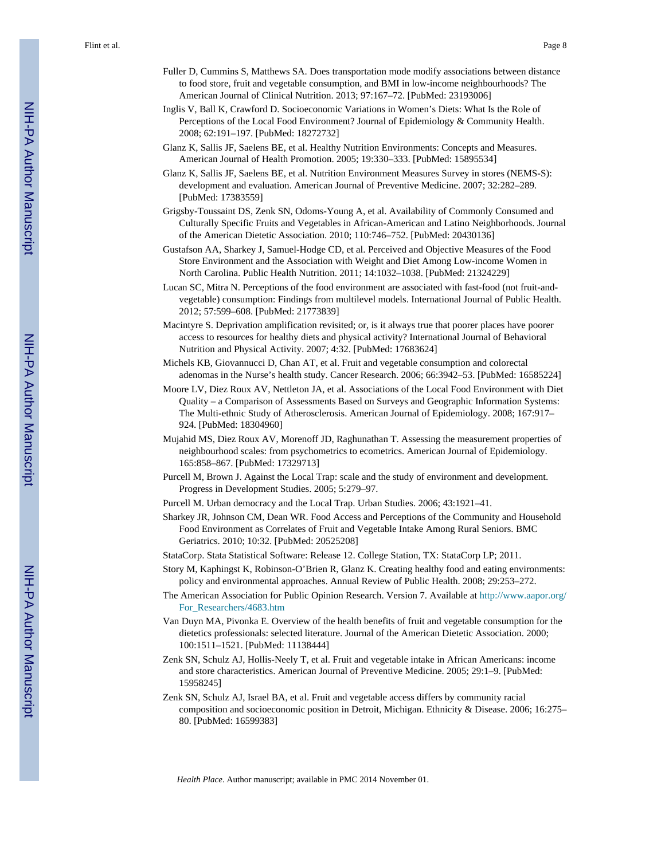- Fuller D, Cummins S, Matthews SA. Does transportation mode modify associations between distance to food store, fruit and vegetable consumption, and BMI in low-income neighbourhoods? The American Journal of Clinical Nutrition. 2013; 97:167–72. [PubMed: 23193006]
- Inglis V, Ball K, Crawford D. Socioeconomic Variations in Women's Diets: What Is the Role of Perceptions of the Local Food Environment? Journal of Epidemiology & Community Health. 2008; 62:191–197. [PubMed: 18272732]
- Glanz K, Sallis JF, Saelens BE, et al. Healthy Nutrition Environments: Concepts and Measures. American Journal of Health Promotion. 2005; 19:330–333. [PubMed: 15895534]
- Glanz K, Sallis JF, Saelens BE, et al. Nutrition Environment Measures Survey in stores (NEMS-S): development and evaluation. American Journal of Preventive Medicine. 2007; 32:282–289. [PubMed: 17383559]
- Grigsby-Toussaint DS, Zenk SN, Odoms-Young A, et al. Availability of Commonly Consumed and Culturally Specific Fruits and Vegetables in African-American and Latino Neighborhoods. Journal of the American Dietetic Association. 2010; 110:746–752. [PubMed: 20430136]
- Gustafson AA, Sharkey J, Samuel-Hodge CD, et al. Perceived and Objective Measures of the Food Store Environment and the Association with Weight and Diet Among Low-income Women in North Carolina. Public Health Nutrition. 2011; 14:1032–1038. [PubMed: 21324229]
- Lucan SC, Mitra N. Perceptions of the food environment are associated with fast-food (not fruit-andvegetable) consumption: Findings from multilevel models. International Journal of Public Health. 2012; 57:599–608. [PubMed: 21773839]
- Macintyre S. Deprivation amplification revisited; or, is it always true that poorer places have poorer access to resources for healthy diets and physical activity? International Journal of Behavioral Nutrition and Physical Activity. 2007; 4:32. [PubMed: 17683624]
- Michels KB, Giovannucci D, Chan AT, et al. Fruit and vegetable consumption and colorectal adenomas in the Nurse's health study. Cancer Research. 2006; 66:3942–53. [PubMed: 16585224]
- Moore LV, Diez Roux AV, Nettleton JA, et al. Associations of the Local Food Environment with Diet Quality – a Comparison of Assessments Based on Surveys and Geographic Information Systems: The Multi-ethnic Study of Atherosclerosis. American Journal of Epidemiology. 2008; 167:917– 924. [PubMed: 18304960]
- Mujahid MS, Diez Roux AV, Morenoff JD, Raghunathan T. Assessing the measurement properties of neighbourhood scales: from psychometrics to ecometrics. American Journal of Epidemiology. 165:858–867. [PubMed: 17329713]
- Purcell M, Brown J. Against the Local Trap: scale and the study of environment and development. Progress in Development Studies. 2005; 5:279–97.
- Purcell M. Urban democracy and the Local Trap. Urban Studies. 2006; 43:1921–41.
- Sharkey JR, Johnson CM, Dean WR. Food Access and Perceptions of the Community and Household Food Environment as Correlates of Fruit and Vegetable Intake Among Rural Seniors. BMC Geriatrics. 2010; 10:32. [PubMed: 20525208]
- StataCorp. Stata Statistical Software: Release 12. College Station, TX: StataCorp LP; 2011.
- Story M, Kaphingst K, Robinson-O'Brien R, Glanz K. Creating healthy food and eating environments: policy and environmental approaches. Annual Review of Public Health. 2008; 29:253–272.
- The American Association for Public Opinion Research. Version 7. Available at [http://www.aapor.org/](http://www.aapor.org/For_Researchers/4683.htm) [For\\_Researchers/4683.htm](http://www.aapor.org/For_Researchers/4683.htm)
- Van Duyn MA, Pivonka E. Overview of the health benefits of fruit and vegetable consumption for the dietetics professionals: selected literature. Journal of the American Dietetic Association. 2000; 100:1511–1521. [PubMed: 11138444]
- Zenk SN, Schulz AJ, Hollis-Neely T, et al. Fruit and vegetable intake in African Americans: income and store characteristics. American Journal of Preventive Medicine. 2005; 29:1–9. [PubMed: 15958245]
- Zenk SN, Schulz AJ, Israel BA, et al. Fruit and vegetable access differs by community racial composition and socioeconomic position in Detroit, Michigan. Ethnicity & Disease. 2006; 16:275– 80. [PubMed: 16599383]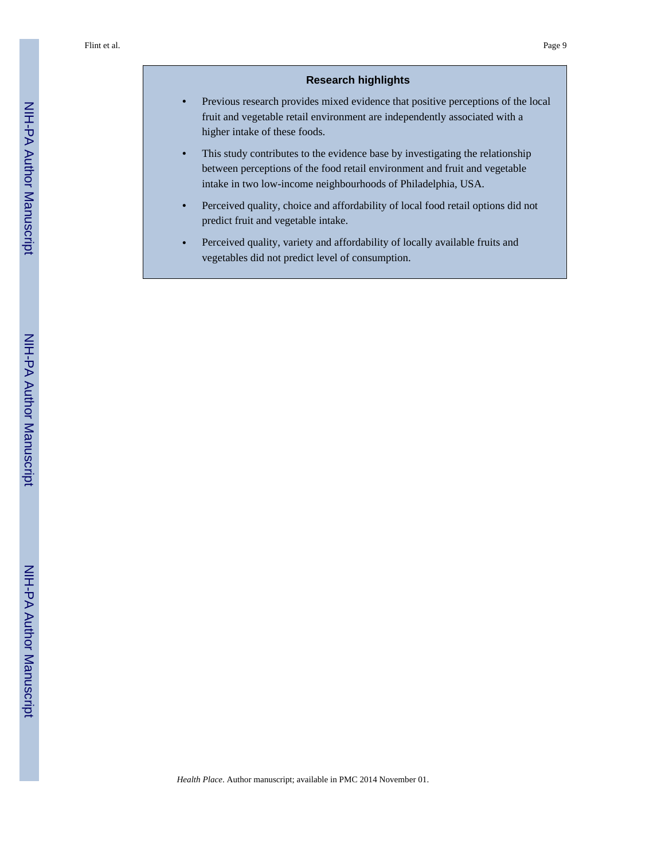#### **Research highlights**

- **•** Previous research provides mixed evidence that positive perceptions of the local fruit and vegetable retail environment are independently associated with a higher intake of these foods.
- This study contributes to the evidence base by investigating the relationship between perceptions of the food retail environment and fruit and vegetable intake in two low-income neighbourhoods of Philadelphia, USA.
- **•** Perceived quality, choice and affordability of local food retail options did not predict fruit and vegetable intake.
- **•** Perceived quality, variety and affordability of locally available fruits and vegetables did not predict level of consumption.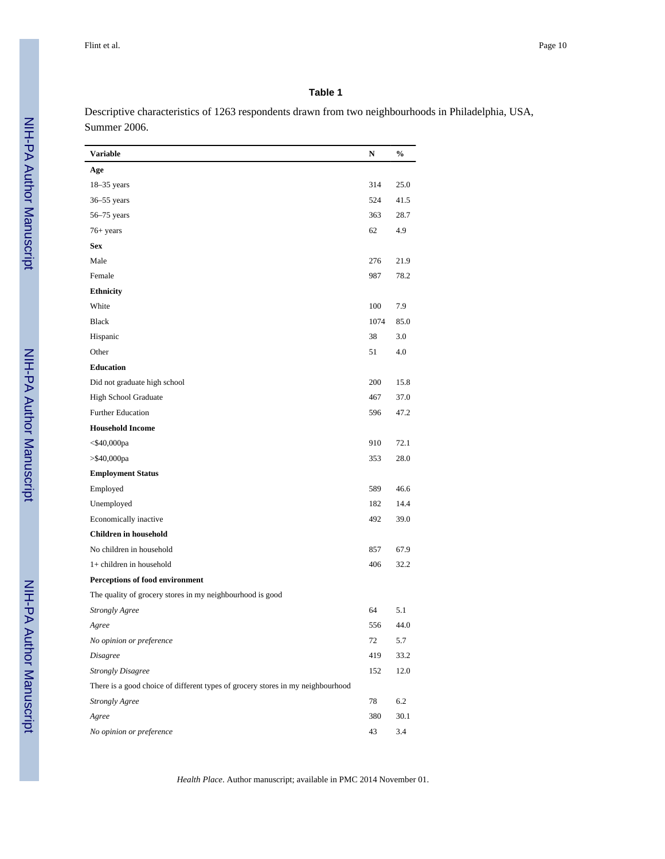#### **Table 1**

Descriptive characteristics of 1263 respondents drawn from two neighbourhoods in Philadelphia, USA, Summer 2006.

| Variable                                                                        | N    | $\frac{0}{0}$ |
|---------------------------------------------------------------------------------|------|---------------|
| Age                                                                             |      |               |
| $18-35$ years                                                                   | 314  | 25.0          |
| $36 - 55$ years                                                                 | 524  | 41.5          |
| $56-75$ years                                                                   | 363  | 28.7          |
| $76+ years$                                                                     | 62   | 4.9           |
| <b>Sex</b>                                                                      |      |               |
| Male                                                                            | 276  | 21.9          |
| Female                                                                          | 987  | 78.2          |
| <b>Ethnicity</b>                                                                |      |               |
| White                                                                           | 100  | 7.9           |
| <b>Black</b>                                                                    | 1074 | 85.0          |
| Hispanic                                                                        | 38   | 3.0           |
| Other                                                                           | 51   | 4.0           |
| <b>Education</b>                                                                |      |               |
| Did not graduate high school                                                    | 200  | 15.8          |
| High School Graduate                                                            | 467  | 37.0          |
| <b>Further Education</b>                                                        | 596  | 47.2          |
| <b>Household Income</b>                                                         |      |               |
| $<$ \$40,000pa                                                                  | 910  | 72.1          |
| $>$ \$40,000pa                                                                  | 353  | 28.0          |
| <b>Employment Status</b>                                                        |      |               |
| Employed                                                                        | 589  | 46.6          |
| Unemployed                                                                      | 182  | 14.4          |
| Economically inactive                                                           | 492  | 39.0          |
| <b>Children</b> in household                                                    |      |               |
| No children in household                                                        | 857  | 67.9          |
| 1+ children in household                                                        | 406  | 32.2          |
| Perceptions of food environment                                                 |      |               |
| The quality of grocery stores in my neighbourhood is good                       |      |               |
| <b>Strongly Agree</b>                                                           | 64   | 5.1           |
| Agree                                                                           | 556  | 44.0          |
| No opinion or preference                                                        | 72   | 5.7           |
| <b>Disagree</b>                                                                 | 419  | 33.2          |
| <b>Strongly Disagree</b>                                                        | 152  | 12.0          |
| There is a good choice of different types of grocery stores in my neighbourhood |      |               |
| <b>Strongly Agree</b>                                                           | 78   | 6.2           |
| Agree                                                                           | 380  | 30.1          |
| No opinion or preference                                                        | 43   | 3.4           |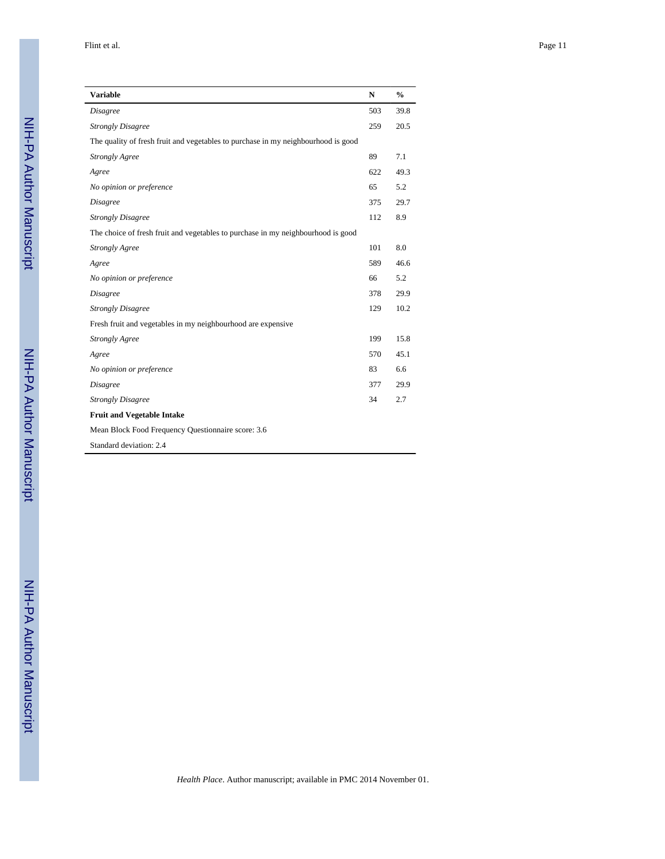| <b>Variable</b>                                                                   | $\mathbf N$ | $\frac{0}{0}$ |
|-----------------------------------------------------------------------------------|-------------|---------------|
| <b>Disagree</b>                                                                   | 503         | 39.8          |
| <b>Strongly Disagree</b>                                                          | 259         | 20.5          |
| The quality of fresh fruit and vegetables to purchase in my neighbourhood is good |             |               |
| <b>Strongly Agree</b>                                                             | 89          | 7.1           |
| Agree                                                                             | 622         | 49.3          |
| No opinion or preference                                                          | 65          | 5.2           |
| <b>Disagree</b>                                                                   | 375         | 29.7          |
| <b>Strongly Disagree</b>                                                          | 112         | 8.9           |
| The choice of fresh fruit and vegetables to purchase in my neighbourhood is good  |             |               |
| <b>Strongly Agree</b>                                                             | 101         | 8.0           |
| Agree                                                                             | 589         | 46.6          |
| No opinion or preference                                                          | 66          | 5.2           |
| <b>Disagree</b>                                                                   | 378         | 29.9          |
| <b>Strongly Disagree</b>                                                          | 129         | 10.2          |
| Fresh fruit and vegetables in my neighbourhood are expensive                      |             |               |
| <b>Strongly Agree</b>                                                             | 199         | 15.8          |
| Agree                                                                             | 570         | 45.1          |
| No opinion or preference                                                          | 83          | 6.6           |
| <b>Disagree</b>                                                                   | 377         | 29.9          |
| <b>Strongly Disagree</b>                                                          | 34          | 2.7           |
| <b>Fruit and Vegetable Intake</b>                                                 |             |               |
| Mean Block Food Frequency Questionnaire score: 3.6                                |             |               |
| Standard deviation: 2.4                                                           |             |               |